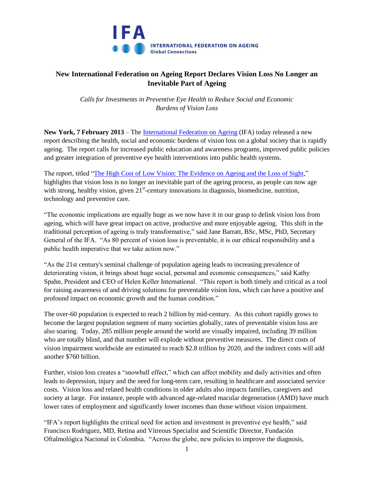

## **New International Federation on Ageing Report Declares Vision Loss No Longer an Inevitable Part of Ageing**

*Calls for Investments in Preventive Eye Health to Reduce Social and Economic Burdens of Vision Loss*

**New York, 7 February 2013** – The [International Federation on Ageing](http://www.ifa-fiv.org/) (IFA) today released a new report describing the health, social and economic burdens of vision loss on a global society that is rapidly ageing. The report calls for increased public education and awareness programs, improved public policies and greater integration of preventive eye health interventions into public health systems.

The report, titled ["The High Cost of Low Vision: The Evidence on Ageing and the Loss of Sight,](http://www.ifa-fiv.org/wp-content/uploads/2013/02/The-High-Cost-of-Low-Vision-The-Evidence-on-Ageing-and-the-Loss-of-Sight.pdf)" highlights that vision loss is no longer an inevitable part of the ageing process, as people can now age with strong, healthy vision, given  $21<sup>st</sup>$ -century innovations in diagnosis, biomedicine, nutrition, technology and preventive care.

"The economic implications are equally huge as we now have it in our grasp to delink vision loss from ageing, which will have great impact on active, productive and more enjoyable ageing. This shift in the traditional perception of ageing is truly transformative," said Jane Barratt, BSc, MSc, PhD, Secretary General of the IFA. "As 80 percent of vision loss is preventable, it is our ethical responsibility and a public health imperative that we take action now."

"As the 21st century's seminal challenge of population ageing leads to increasing prevalence of deteriorating vision, it brings about huge social, personal and economic consequences," said Kathy Spahn, President and CEO of Helen Keller International. "This report is both timely and critical as a tool for raising awareness of and driving solutions for preventable vision loss, which can have a positive and profound impact on economic growth and the human condition."

The over-60 population is expected to reach 2 billion by mid-century. As this cohort rapidly grows to become the largest population segment of many societies globally, rates of preventable vision loss are also soaring. Today, 285 million people around the world are visually impaired, including 39 million who are totally blind, and that number will explode without preventive measures. The direct costs of vision impairment worldwide are estimated to reach \$2.8 trillion by 2020, and the indirect costs will add another \$760 billion.

Further, vision loss creates a "snowball effect," which can affect mobility and daily activities and often leads to depression, injury and the need for long-term care, resulting in healthcare and associated service costs. Vision loss and related health conditions in older adults also impacts families, caregivers and society at large. For instance, people with advanced age-related macular degeneration (AMD) have much lower rates of employment and significantly lower incomes than those without vision impairment.

"IFA's report highlights the critical need for action and investment in preventive eye health," said Francisco Rodriguez, MD, Retina and Vitreous Specialist and Scientific Director, Fundación Oftalmológica Nacional in Colombia. "Across the globe, new policies to improve the diagnosis,